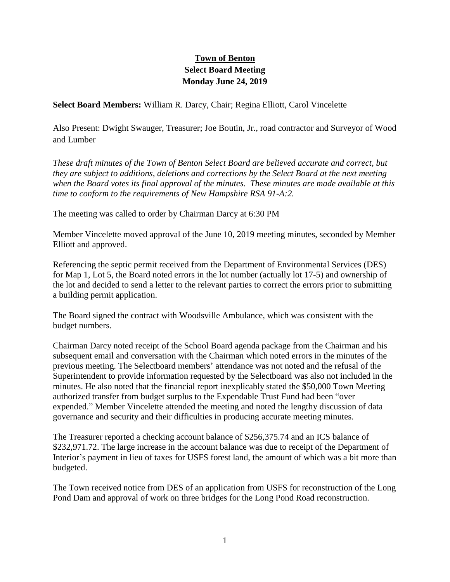## **Town of Benton Select Board Meeting Monday June 24, 2019**

**Select Board Members:** William R. Darcy, Chair; Regina Elliott, Carol Vincelette

Also Present: Dwight Swauger, Treasurer; Joe Boutin, Jr., road contractor and Surveyor of Wood and Lumber

*These draft minutes of the Town of Benton Select Board are believed accurate and correct, but they are subject to additions, deletions and corrections by the Select Board at the next meeting when the Board votes its final approval of the minutes. These minutes are made available at this time to conform to the requirements of New Hampshire RSA 91-A:2.*

The meeting was called to order by Chairman Darcy at 6:30 PM

Member Vincelette moved approval of the June 10, 2019 meeting minutes, seconded by Member Elliott and approved.

Referencing the septic permit received from the Department of Environmental Services (DES) for Map 1, Lot 5, the Board noted errors in the lot number (actually lot 17-5) and ownership of the lot and decided to send a letter to the relevant parties to correct the errors prior to submitting a building permit application.

The Board signed the contract with Woodsville Ambulance, which was consistent with the budget numbers.

Chairman Darcy noted receipt of the School Board agenda package from the Chairman and his subsequent email and conversation with the Chairman which noted errors in the minutes of the previous meeting. The Selectboard members' attendance was not noted and the refusal of the Superintendent to provide information requested by the Selectboard was also not included in the minutes. He also noted that the financial report inexplicably stated the \$50,000 Town Meeting authorized transfer from budget surplus to the Expendable Trust Fund had been "over expended." Member Vincelette attended the meeting and noted the lengthy discussion of data governance and security and their difficulties in producing accurate meeting minutes.

The Treasurer reported a checking account balance of \$256,375.74 and an ICS balance of \$232,971.72. The large increase in the account balance was due to receipt of the Department of Interior's payment in lieu of taxes for USFS forest land, the amount of which was a bit more than budgeted.

The Town received notice from DES of an application from USFS for reconstruction of the Long Pond Dam and approval of work on three bridges for the Long Pond Road reconstruction.